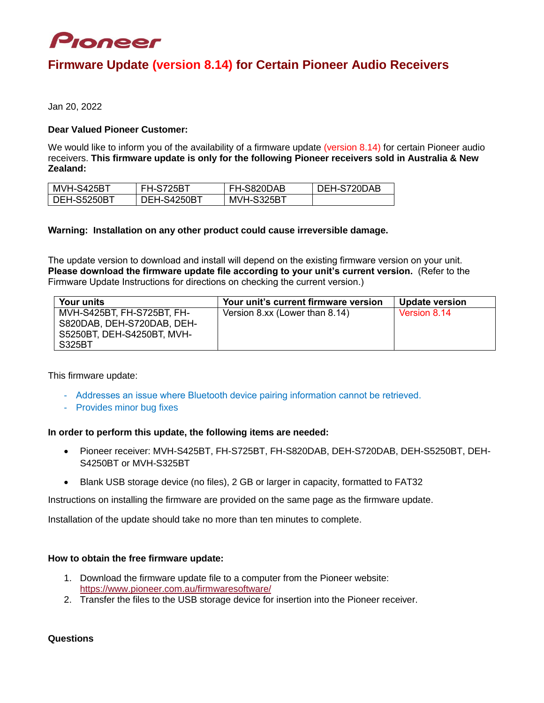

# **Firmware Update (version 8.14) for Certain Pioneer Audio Receivers**

Jan 20, 2022

## **Dear Valued Pioneer Customer:**

We would like to inform you of the availability of a firmware update (version 8.14) for certain Pioneer audio receivers. **This firmware update is only for the following Pioneer receivers sold in Australia & New Zealand:**

| MVH-S425BT  | <b>FH-S725BT</b> | FH-S820DAB | DEH-S720DAB |
|-------------|------------------|------------|-------------|
| DEH-S5250BT | DEH-S4250BT      | MVH-S325BT |             |

## **Warning: Installation on any other product could cause irreversible damage.**

The update version to download and install will depend on the existing firmware version on your unit. **Please download the firmware update file according to your unit's current version.** (Refer to the Firmware Update Instructions for directions on checking the current version.)

| <b>Your units</b>                                                                      | Your unit's current firmware version | <b>Update version</b> |
|----------------------------------------------------------------------------------------|--------------------------------------|-----------------------|
| MVH-S425BT, FH-S725BT, FH-<br>S820DAB, DEH-S720DAB, DEH-<br>S5250BT, DEH-S4250BT, MVH- | Version 8.xx (Lower than 8.14)       | Version 8.14          |
| S325BT                                                                                 |                                      |                       |

This firmware update:

- Addresses an issue where Bluetooth device pairing information cannot be retrieved.
- Provides minor bug fixes

### **In order to perform this update, the following items are needed:**

- Pioneer receiver: MVH-S425BT, FH-S725BT, FH-S820DAB, DEH-S720DAB, DEH-S5250BT, DEH-S4250BT or MVH-S325BT
- Blank USB storage device (no files), 2 GB or larger in capacity, formatted to FAT32

Instructions on installing the firmware are provided on the same page as the firmware update.

Installation of the update should take no more than ten minutes to complete.

### **How to obtain the free firmware update:**

- 1. Download the firmware update file to a computer from the Pioneer website: <https://www.pioneer.com.au/firmwaresoftware/>
- 2. Transfer the files to the USB storage device for insertion into the Pioneer receiver.

**Questions**